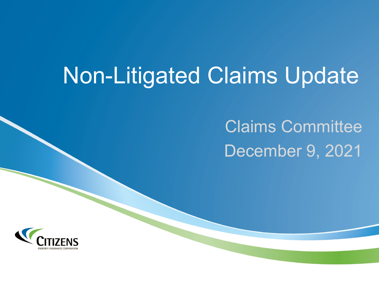# Non-Litigated Claims Update

# Claims Committee December 9, 2021

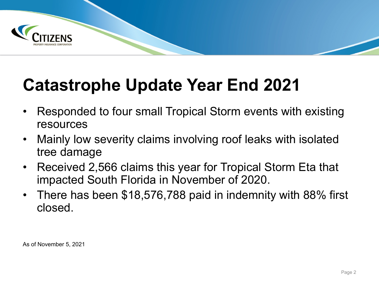

## **Catastrophe Update Year End 2021**

- Responded to four small Tropical Storm events with existing resources
- Mainly low severity claims involving roof leaks with isolated tree damage
- Received 2,566 claims this year for Tropical Storm Eta that impacted South Florida in November of 2020.
- There has been \$18,576,788 paid in indemnity with 88% first closed.

As of November 5, 2021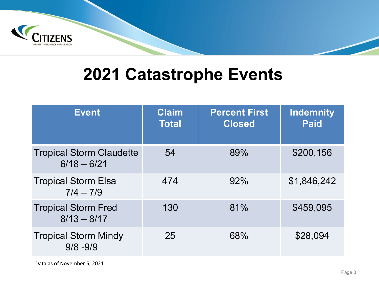

#### **2021 Catastrophe Events**

| <b>Event</b>                                     | <b>Claim</b><br><b>Total</b> | <b>Percent First</b><br><b>Closed</b> | <b>Indemnity</b><br><b>Paid</b> |
|--------------------------------------------------|------------------------------|---------------------------------------|---------------------------------|
| <b>Tropical Storm Claudette</b><br>$6/18 - 6/21$ | 54                           | 89%                                   | \$200,156                       |
| <b>Tropical Storm Elsa</b><br>$7/4 - 7/9$        | 474                          | 92%                                   | \$1,846,242                     |
| <b>Tropical Storm Fred</b><br>$8/13 - 8/17$      | 130                          | 81%                                   | \$459,095                       |
| <b>Tropical Storm Mindy</b><br>$9/8 - 9/9$       | 25                           | 68%                                   | \$28,094                        |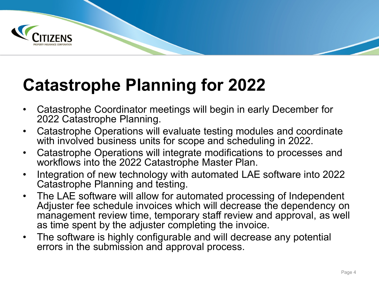

## **Catastrophe Planning for 2022**

- Catastrophe Coordinator meetings will begin in early December for 2022 Catastrophe Planning.
- Catastrophe Operations will evaluate testing modules and coordinate with involved business units for scope and scheduling in 2022.
- Catastrophe Operations will integrate modifications to processes and workflows into the 2022 Catastrophe Master Plan.
- Integration of new technology with automated LAE software into 2022 Catastrophe Planning and testing.
- The LAE software will allow for automated processing of Independent Adjuster fee schedule invoices which will decrease the dependency on management review time, temporary staff review and approval, as well as time spent by the adjuster completing the invoice.
- The software is highly configurable and will decrease any potential errors in the submission and approval process.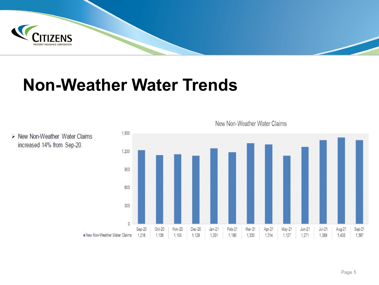

#### **Non-Weather Water Trends**





New Non-Weather Water Claims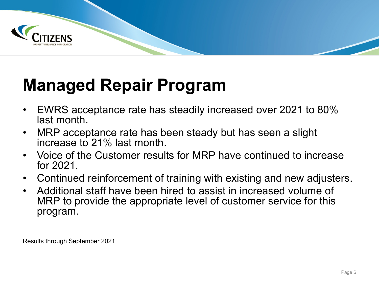

## **Managed Repair Program**

- EWRS acceptance rate has steadily increased over 2021 to 80% last month.
- MRP acceptance rate has been steady but has seen a slight increase to 21% last month.
- Voice of the Customer results for MRP have continued to increase for 2021.
- Continued reinforcement of training with existing and new adjusters.
- Additional staff have been hired to assist in increased volume of MRP to provide the appropriate level of customer service for this program.

Results through September 2021